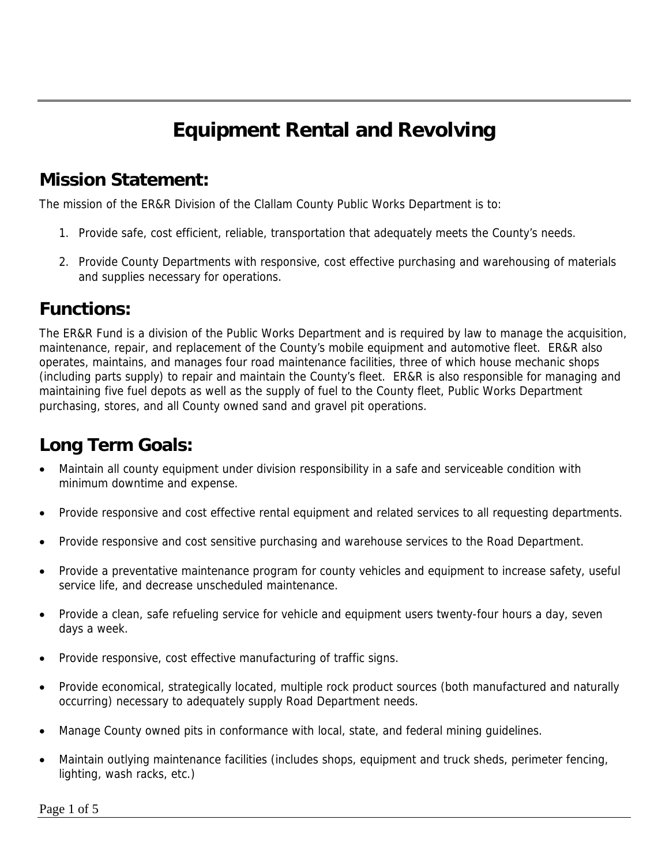# **Equipment Rental and Revolving**

## **Mission Statement:**

The mission of the ER&R Division of the Clallam County Public Works Department is to:

- 1. Provide safe, cost efficient, reliable, transportation that adequately meets the County's needs.
- 2. Provide County Departments with responsive, cost effective purchasing and warehousing of materials and supplies necessary for operations.

## **Functions:**

The ER&R Fund is a division of the Public Works Department and is required by law to manage the acquisition, maintenance, repair, and replacement of the County's mobile equipment and automotive fleet. ER&R also operates, maintains, and manages four road maintenance facilities, three of which house mechanic shops (including parts supply) to repair and maintain the County's fleet. ER&R is also responsible for managing and maintaining five fuel depots as well as the supply of fuel to the County fleet, Public Works Department purchasing, stores, and all County owned sand and gravel pit operations.

# **Long Term Goals:**

- Maintain all county equipment under division responsibility in a safe and serviceable condition with minimum downtime and expense.
- Provide responsive and cost effective rental equipment and related services to all requesting departments.
- Provide responsive and cost sensitive purchasing and warehouse services to the Road Department.
- Provide a preventative maintenance program for county vehicles and equipment to increase safety, useful service life, and decrease unscheduled maintenance.
- Provide a clean, safe refueling service for vehicle and equipment users twenty-four hours a day, seven days a week.
- Provide responsive, cost effective manufacturing of traffic signs.
- Provide economical, strategically located, multiple rock product sources (both manufactured and naturally occurring) necessary to adequately supply Road Department needs.
- Manage County owned pits in conformance with local, state, and federal mining guidelines.
- Maintain outlying maintenance facilities (includes shops, equipment and truck sheds, perimeter fencing, lighting, wash racks, etc.)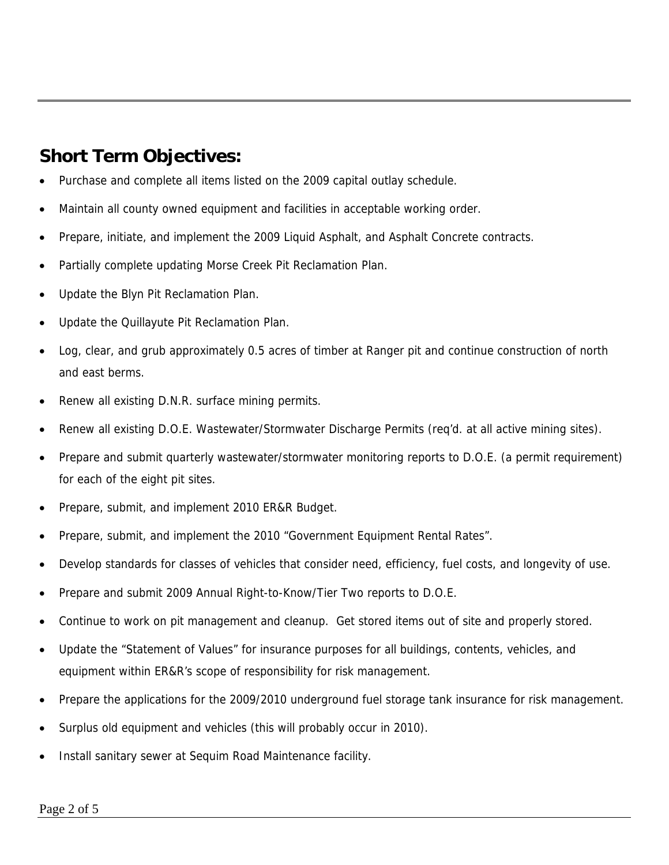## **Short Term Objectives:**

- Purchase and complete all items listed on the 2009 capital outlay schedule.
- Maintain all county owned equipment and facilities in acceptable working order.
- Prepare, initiate, and implement the 2009 Liquid Asphalt, and Asphalt Concrete contracts.
- Partially complete updating Morse Creek Pit Reclamation Plan.
- Update the Blyn Pit Reclamation Plan.
- Update the Quillayute Pit Reclamation Plan.
- Log, clear, and grub approximately 0.5 acres of timber at Ranger pit and continue construction of north and east berms.
- Renew all existing D.N.R. surface mining permits.
- Renew all existing D.O.E. Wastewater/Stormwater Discharge Permits (req'd. at all active mining sites).
- Prepare and submit quarterly wastewater/stormwater monitoring reports to D.O.E. (a permit requirement) for each of the eight pit sites.
- Prepare, submit, and implement 2010 ER&R Budget.
- Prepare, submit, and implement the 2010 "Government Equipment Rental Rates".
- Develop standards for classes of vehicles that consider need, efficiency, fuel costs, and longevity of use.
- Prepare and submit 2009 Annual Right-to-Know/Tier Two reports to D.O.E.
- Continue to work on pit management and cleanup. Get stored items out of site and properly stored.
- Update the "Statement of Values" for insurance purposes for all buildings, contents, vehicles, and equipment within ER&R's scope of responsibility for risk management.
- Prepare the applications for the 2009/2010 underground fuel storage tank insurance for risk management.
- Surplus old equipment and vehicles (this will probably occur in 2010).
- Install sanitary sewer at Sequim Road Maintenance facility.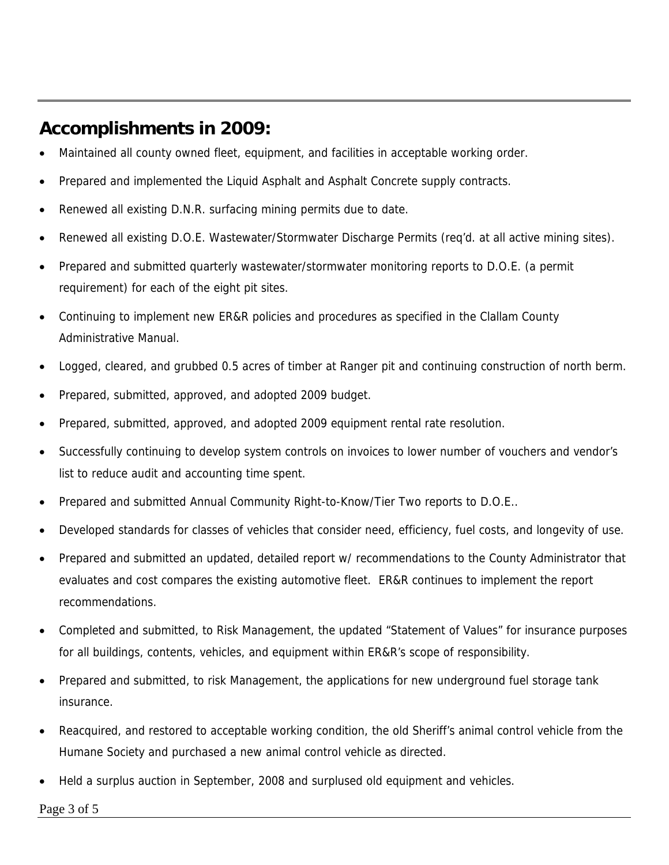## **Accomplishments in 2009:**

- Maintained all county owned fleet, equipment, and facilities in acceptable working order.
- Prepared and implemented the Liquid Asphalt and Asphalt Concrete supply contracts.
- Renewed all existing D.N.R. surfacing mining permits due to date.
- Renewed all existing D.O.E. Wastewater/Stormwater Discharge Permits (req'd. at all active mining sites).
- Prepared and submitted quarterly wastewater/stormwater monitoring reports to D.O.E. (a permit requirement) for each of the eight pit sites.
- Continuing to implement new ER&R policies and procedures as specified in the Clallam County Administrative Manual.
- Logged, cleared, and grubbed 0.5 acres of timber at Ranger pit and continuing construction of north berm.
- Prepared, submitted, approved, and adopted 2009 budget.
- Prepared, submitted, approved, and adopted 2009 equipment rental rate resolution.
- Successfully continuing to develop system controls on invoices to lower number of vouchers and vendor's list to reduce audit and accounting time spent.
- Prepared and submitted Annual Community Right-to-Know/Tier Two reports to D.O.E..
- Developed standards for classes of vehicles that consider need, efficiency, fuel costs, and longevity of use.
- Prepared and submitted an updated, detailed report w/ recommendations to the County Administrator that evaluates and cost compares the existing automotive fleet. ER&R continues to implement the report recommendations.
- Completed and submitted, to Risk Management, the updated "Statement of Values" for insurance purposes for all buildings, contents, vehicles, and equipment within ER&R's scope of responsibility.
- Prepared and submitted, to risk Management, the applications for new underground fuel storage tank insurance.
- Reacquired, and restored to acceptable working condition, the old Sheriff's animal control vehicle from the Humane Society and purchased a new animal control vehicle as directed.
- Held a surplus auction in September, 2008 and surplused old equipment and vehicles.

Page 3 of 5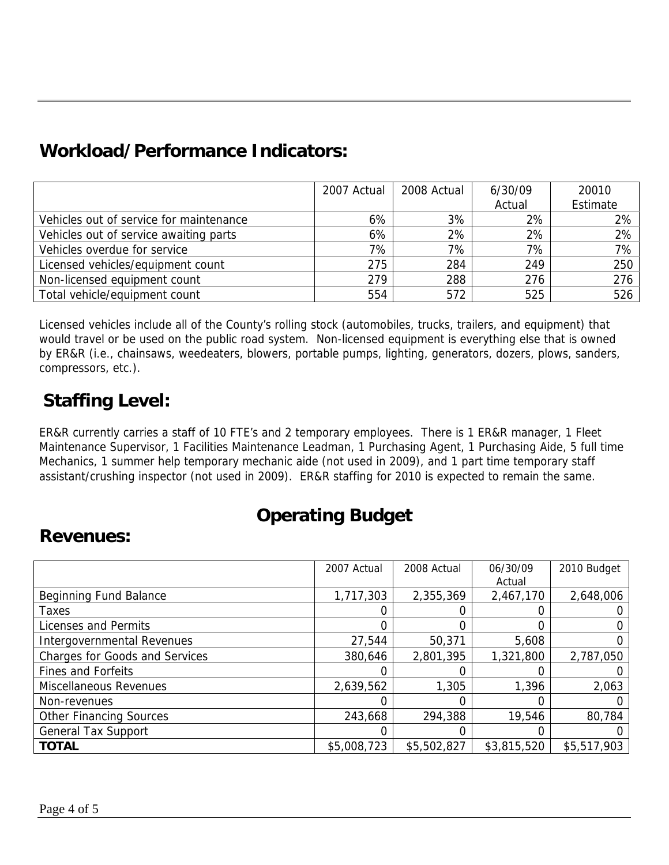## **Workload/Performance Indicators:**

|                                         | 2007 Actual | 2008 Actual | 6/30/09 | 20010    |
|-----------------------------------------|-------------|-------------|---------|----------|
|                                         |             |             | Actual  | Estimate |
| Vehicles out of service for maintenance | 6%          | 3%          | 2%      | 2%       |
| Vehicles out of service awaiting parts  | 6%          | 2%          | 2%      | 2%       |
| Vehicles overdue for service            | 7%          | 7%          | 7%      | 7%       |
| Licensed vehicles/equipment count       | 275         | 284         | 249     | 250      |
| Non-licensed equipment count            | 279         | 288         | 276     | 276      |
| Total vehicle/equipment count           | 554         | 572         | 525     | 526      |

Licensed vehicles include all of the County's rolling stock (automobiles, trucks, trailers, and equipment) that would travel or be used on the public road system. Non-licensed equipment is everything else that is owned by ER&R (i.e., chainsaws, weedeaters, blowers, portable pumps, lighting, generators, dozers, plows, sanders, compressors, etc.).

# **Staffing Level:**

ER&R currently carries a staff of 10 FTE's and 2 temporary employees. There is 1 ER&R manager, 1 Fleet Maintenance Supervisor, 1 Facilities Maintenance Leadman, 1 Purchasing Agent, 1 Purchasing Aide, 5 full time Mechanics, 1 summer help temporary mechanic aide (not used in 2009), and 1 part time temporary staff assistant/crushing inspector (not used in 2009). ER&R staffing for 2010 is expected to remain the same.

## **Operating Budget**

#### **Revenues:**

|                                | 2007 Actual | 2008 Actual | 06/30/09    | 2010 Budget |
|--------------------------------|-------------|-------------|-------------|-------------|
|                                |             |             | Actual      |             |
| <b>Beginning Fund Balance</b>  | 1,717,303   | 2,355,369   | 2,467,170   | 2,648,006   |
| Taxes                          |             |             |             |             |
| Licenses and Permits           | 0           |             |             |             |
| Intergovernmental Revenues     | 27,544      | 50,371      | 5,608       |             |
| Charges for Goods and Services | 380,646     | 2,801,395   | 1,321,800   | 2,787,050   |
| <b>Fines and Forfeits</b>      |             |             |             |             |
| Miscellaneous Revenues         | 2,639,562   | 1,305       | 1,396       | 2,063       |
| Non-revenues                   |             |             |             |             |
| <b>Other Financing Sources</b> | 243,668     | 294,388     | 19,546      | 80,784      |
| <b>General Tax Support</b>     |             |             |             |             |
| <b>TOTAL</b>                   | \$5,008,723 | \$5,502,827 | \$3,815,520 | \$5,517,903 |